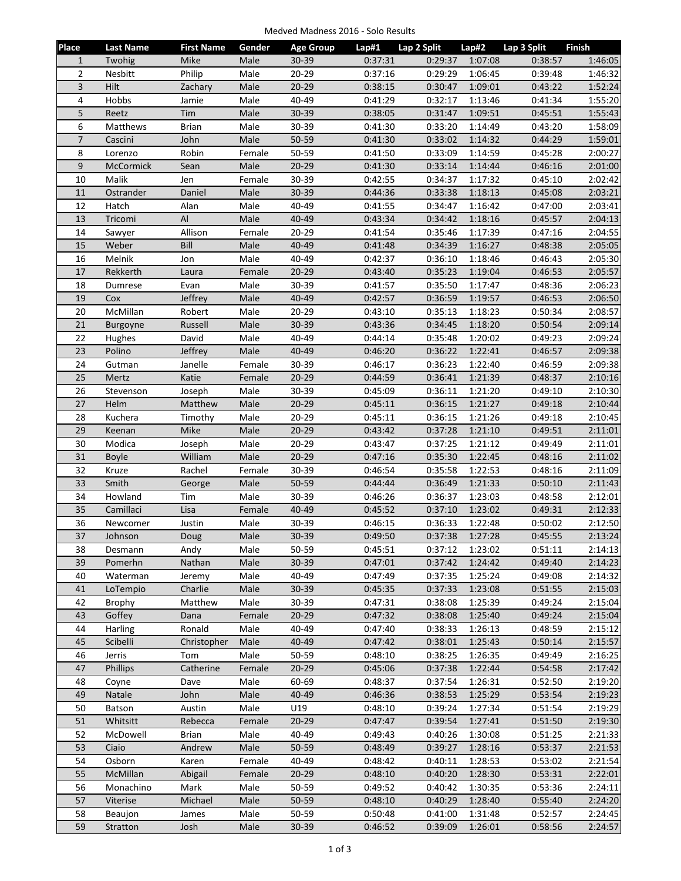| Medved Madness 2016 - Solo Results |  |  |  |
|------------------------------------|--|--|--|
|------------------------------------|--|--|--|

| Place          | <b>Last Name</b>     | <b>First Name</b> | Gender         | <b>Age Group</b>   | Lap#1              | Lap 2 Split        | Lap#2              | Lap 3 Split        | Finish             |
|----------------|----------------------|-------------------|----------------|--------------------|--------------------|--------------------|--------------------|--------------------|--------------------|
| $\mathbf{1}$   | Twohig               | Mike              | Male           | $30 - 39$          | 0:37:31            | 0:29:37            | 1:07:08            | 0:38:57            | 1:46:05            |
| $\overline{2}$ | Nesbitt              | Philip            | Male           | $20 - 29$          | 0:37:16            | 0:29:29            | 1:06:45            | 0:39:48            | 1:46:32            |
| 3              | Hilt                 | Zachary           | Male           | $20 - 29$          | 0:38:15            | 0:30:47            | 1:09:01            | 0:43:22            | 1:52:24            |
| 4              | Hobbs                | Jamie             | Male           | 40-49              | 0:41:29            | 0:32:17            | 1:13:46            | 0:41:34            | 1:55:20            |
| 5              | Reetz                | Tim               | Male           | $30 - 39$          | 0:38:05            | 0:31:47            | 1:09:51            | 0:45:51            | 1:55:43            |
| 6              | Matthews             | <b>Brian</b>      | Male           | 30-39              | 0:41:30            | 0:33:20            | 1:14:49            | 0:43:20            | 1:58:09            |
| $\overline{7}$ | Cascini              | John              | Male           | 50-59              | 0:41:30            | 0:33:02            | 1:14:32            | 0:44:29            | 1:59:01            |
| 8              |                      | Robin             |                |                    |                    |                    |                    |                    |                    |
| $\mathsf g$    | Lorenzo<br>McCormick | Sean              | Female<br>Male | 50-59<br>$20 - 29$ | 0:41:50<br>0:41:30 | 0:33:09<br>0:33:14 | 1:14:59<br>1:14:44 | 0:45:28<br>0:46:16 | 2:00:27<br>2:01:00 |
| 10             | Malik                | Jen               | Female         | 30-39              | 0:42:55            | 0:34:37            | 1:17:32            | 0:45:10            | 2:02:42            |
|                |                      |                   |                |                    |                    |                    |                    |                    |                    |
| 11             | Ostrander            | Daniel            | Male           | 30-39<br>40-49     | 0:44:36            | 0:33:38            | 1:18:13            | 0:45:08            | 2:03:21            |
| 12             | Hatch                | Alan              | Male           |                    | 0:41:55            | 0:34:47            | 1:16:42            | 0:47:00            | 2:03:41            |
| 13             | Tricomi              | Al                | Male           | 40-49              | 0:43:34            | 0:34:42            | 1:18:16            | 0:45:57            | 2:04:13            |
| 14             | Sawyer               | Allison           | Female         | $20 - 29$          | 0:41:54            | 0:35:46            | 1:17:39            | 0:47:16            | 2:04:55            |
| 15             | Weber                | Bill              | Male           | 40-49              | 0:41:48            | 0:34:39            | 1:16:27            | 0:48:38            | 2:05:05            |
| 16             | Melnik               | Jon               | Male           | 40-49              | 0:42:37            | 0:36:10            | 1:18:46            | 0:46:43            | 2:05:30            |
| 17             | Rekkerth             | Laura             | Female         | $20 - 29$          | 0:43:40            | 0:35:23            | 1:19:04            | 0:46:53            | 2:05:57            |
| 18             | Dumrese              | Evan              | Male           | 30-39              | 0:41:57            | 0:35:50            | 1:17:47            | 0:48:36            | 2:06:23            |
| 19             | Cox                  | Jeffrey           | Male           | 40-49              | 0:42:57            | 0:36:59            | 1:19:57            | 0:46:53            | 2:06:50            |
| 20             | McMillan             | Robert            | Male           | $20 - 29$          | 0:43:10            | 0:35:13            | 1:18:23            | 0:50:34            | 2:08:57            |
| 21             | Burgoyne             | Russell           | Male           | 30-39              | 0:43:36            | 0:34:45            | 1:18:20            | 0:50:54            | 2:09:14            |
| 22             | Hughes               | David             | Male           | 40-49              | 0:44:14            | 0:35:48            | 1:20:02            | 0:49:23            | 2:09:24            |
| 23             | Polino               | Jeffrey           | Male           | 40-49              | 0:46:20            | 0:36:22            | 1:22:41            | 0:46:57            | 2:09:38            |
| 24             | Gutman               | Janelle           | Female         | 30-39              | 0:46:17            | 0:36:23            | 1:22:40            | 0:46:59            | 2:09:38            |
| 25             | Mertz                | Katie             | Female         | $20 - 29$          | 0:44:59            | 0:36:41            | 1:21:39            | 0:48:37            | 2:10:16            |
| 26             | Stevenson            | Joseph            | Male           | 30-39              | 0:45:09            | 0:36:11            | 1:21:20            | 0:49:10            | 2:10:30            |
| 27             | Helm                 | Matthew           | Male           | $20 - 29$          | 0:45:11            | 0:36:15            | 1:21:27            | 0:49:18            | 2:10:44            |
| 28             | Kuchera              | Timothy           | Male           | 20-29              | 0:45:11            | 0:36:15            | 1:21:26            | 0:49:18            | 2:10:45            |
| 29             | Keenan               | Mike              | Male           | $20 - 29$          | 0:43:42            | 0:37:28            | 1:21:10            | 0:49:51            | 2:11:01            |
| 30             | Modica               | Joseph            | Male           | 20-29              | 0:43:47            | 0:37:25            | 1:21:12            | 0:49:49            | 2:11:01            |
| 31             | <b>Boyle</b>         | William           | Male           | $20 - 29$          | 0:47:16            | 0:35:30            | 1:22:45            | 0:48:16            | 2:11:02            |
| 32             | Kruze                | Rachel            | Female         | 30-39              | 0:46:54            | 0:35:58            | 1:22:53            | 0:48:16            | 2:11:09            |
| 33             | Smith                | George            | Male           | 50-59              | 0:44:44            | 0:36:49            | 1:21:33            | 0:50:10            | 2:11:43            |
| 34             | Howland              | Tim               | Male           | 30-39              | 0:46:26            | 0:36:37            | 1:23:03            | 0:48:58            | 2:12:01            |
| 35             | Camillaci            | Lisa              | Female         | 40-49              | 0:45:52            | 0:37:10            | 1:23:02            | 0:49:31            | 2:12:33            |
| 36             | Newcomer             | Justin            | Male           | 30-39              | 0:46:15            | 0:36:33            | 1:22:48            | 0:50:02            | 2:12:50            |
| 37             | Johnson              | Doug              | Male           | 30-39              | 0:49:50            | 0:37:38            | 1:27:28            | 0:45:55            | 2:13:24            |
| 38             | Desmann              | Andy              | Male           | 50-59              | 0:45:51            | 0:37:12            | 1:23:02            | 0:51:11            | 2:14:13            |
| 39             | Pomerhn              | Nathan            | Male           | 30-39              | 0:47:01            | 0:37:42            | 1:24:42            | 0:49:40            | 2:14:23            |
| 40             | Waterman             | Jeremy            | Male           | 40-49              | 0:47:49            | 0:37:35            | 1:25:24            | 0:49:08            | 2:14:32            |
| 41             | LoTempio             | Charlie           | Male           | 30-39              | 0:45:35            | 0:37:33            | 1:23:08            | 0:51:55            | 2:15:03            |
| 42             | <b>Brophy</b>        | Matthew           | Male           | 30-39              | 0:47:31            | 0:38:08            | 1:25:39            | 0:49:24            | 2:15:04            |
| 43             | Goffey               | Dana              | Female         | $20 - 29$          | 0:47:32            | 0:38:08            | 1:25:40            | 0:49:24            | 2:15:04            |
| 44             | Harling              | Ronald            | Male           | 40-49              | 0:47:40            | 0:38:33            | 1:26:13            | 0:48:59            | 2:15:12            |
| 45             | Scibelli             | Christopher       | Male           | 40-49              | 0:47:42            | 0:38:01            | 1:25:43            | 0:50:14            | 2:15:57            |
| 46             | Jerris               | Tom               | Male           | 50-59              | 0:48:10            | 0:38:25            | 1:26:35            | 0:49:49            | 2:16:25            |
| 47             | Phillips             | Catherine         | Female         | $20 - 29$          | 0:45:06            | 0:37:38            | 1:22:44            | 0:54:58            | 2:17:42            |
| 48             | Coyne                | Dave              | Male           | 60-69              | 0:48:37            | 0:37:54            | 1:26:31            | 0:52:50            | 2:19:20            |
| 49             | Natale               | John              | Male           | $40 - 49$          | 0:46:36            | 0:38:53            | 1:25:29            | 0:53:54            | 2:19:23            |
| 50             | Batson               | Austin            | Male           | U19                | 0:48:10            | 0:39:24            | 1:27:34            | 0:51:54            | 2:19:29            |
| 51             | Whitsitt             | Rebecca           | Female         | $20 - 29$          | 0:47:47            | 0:39:54            | 1:27:41            | 0:51:50            | 2:19:30            |
| 52             | McDowell             | <b>Brian</b>      | Male           | 40-49              | 0:49:43            | 0:40:26            | 1:30:08            | 0:51:25            | 2:21:33            |
| 53             | Ciaio                | Andrew            | Male           | 50-59              | 0:48:49            | 0:39:27            | 1:28:16            | 0:53:37            | 2:21:53            |
| 54             | Osborn               | Karen             | Female         | 40-49              | 0:48:42            | 0:40:11            | 1:28:53            | 0:53:02            | 2:21:54            |
| 55             | McMillan             | Abigail           | Female         | $20 - 29$          | 0:48:10            | 0:40:20            | 1:28:30            | 0:53:31            | 2:22:01            |
| 56             | Monachino            | Mark              | Male           | 50-59              | 0:49:52            | 0:40:42            | 1:30:35            | 0:53:36            | 2:24:11            |
| 57             | Viterise             | Michael           | Male           | 50-59              | 0:48:10            |                    |                    |                    | 2:24:20            |
|                |                      |                   |                |                    |                    | 0:40:29            | 1:28:40            | 0:55:40            |                    |
| 58             | Beaujon              | James             | Male           | 50-59              | 0:50:48            | 0:41:00            | 1:31:48            | 0:52:57            | 2:24:45            |
| 59             | Stratton             | Josh              | Male           | 30-39              | 0:46:52            | 0:39:09            | 1:26:01            | 0:58:56            | 2:24:57            |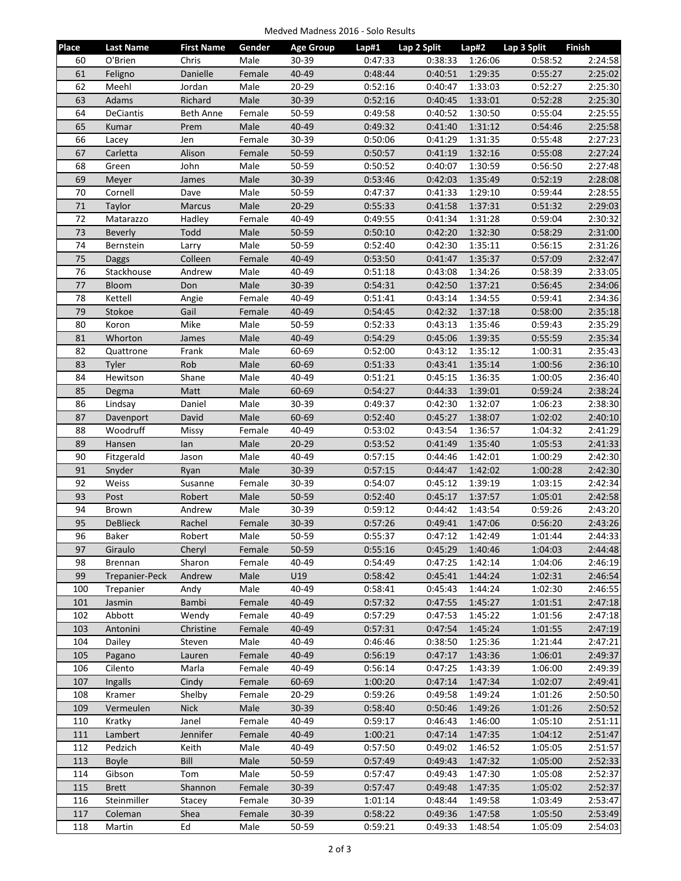| Medved Madness 2016 - Solo Results |  |  |
|------------------------------------|--|--|
|------------------------------------|--|--|

| Place  | <b>Last Name</b> | <b>First Name</b> | Gender | <b>Age Group</b> | Lap#1   | Lap 2 Split | Lap#2   | Lap 3 Split | Finish  |
|--------|------------------|-------------------|--------|------------------|---------|-------------|---------|-------------|---------|
| 60     | O'Brien          | Chris             | Male   | 30-39            | 0:47:33 | 0:38:33     | 1:26:06 | 0:58:52     | 2:24:58 |
| 61     | Feligno          | Danielle          | Female | $40 - 49$        | 0:48:44 | 0:40:51     | 1:29:35 | 0:55:27     | 2:25:02 |
| 62     | Meehl            | Jordan            | Male   | $20 - 29$        | 0:52:16 | 0:40:47     | 1:33:03 | 0:52:27     | 2:25:30 |
| 63     | Adams            | Richard           | Male   | 30-39            | 0:52:16 | 0:40:45     | 1:33:01 | 0:52:28     | 2:25:30 |
| 64     | <b>DeCiantis</b> | Beth Anne         | Female | 50-59            | 0:49:58 | 0:40:52     | 1:30:50 | 0:55:04     | 2:25:55 |
| 65     | Kumar            | Prem              | Male   | 40-49            | 0:49:32 | 0:41:40     | 1:31:12 | 0:54:46     | 2:25:58 |
| 66     | Lacey            | Jen               | Female | 30-39            | 0:50:06 | 0:41:29     | 1:31:35 | 0:55:48     | 2:27:23 |
| 67     | Carletta         | Alison            | Female | 50-59            | 0:50:57 | 0:41:19     | 1:32:16 | 0:55:08     | 2:27:24 |
| 68     | Green            | John              | Male   | 50-59            | 0:50:52 | 0:40:07     | 1:30:59 | 0:56:50     | 2:27:48 |
| 69     | Meyer            | James             | Male   | 30-39            | 0:53:46 | 0:42:03     | 1:35:49 | 0:52:19     | 2:28:08 |
| 70     | Cornell          | Dave              | Male   | 50-59            | 0:47:37 | 0:41:33     | 1:29:10 | 0:59:44     | 2:28:55 |
| $71\,$ | Taylor           | <b>Marcus</b>     | Male   | $20 - 29$        | 0:55:33 | 0:41:58     | 1:37:31 | 0:51:32     | 2:29:03 |
| 72     | Matarazzo        | Hadley            | Female | 40-49            | 0:49:55 | 0:41:34     | 1:31:28 | 0:59:04     | 2:30:32 |
| 73     | <b>Beverly</b>   | Todd              | Male   | 50-59            | 0:50:10 | 0:42:20     | 1:32:30 | 0:58:29     | 2:31:00 |
| 74     | Bernstein        | Larry             | Male   | 50-59            | 0:52:40 | 0:42:30     | 1:35:11 | 0:56:15     | 2:31:26 |
| 75     | <b>Daggs</b>     | Colleen           | Female | 40-49            | 0:53:50 | 0:41:47     | 1:35:37 | 0:57:09     | 2:32:47 |
| 76     | Stackhouse       | Andrew            | Male   | 40-49            | 0:51:18 | 0:43:08     | 1:34:26 | 0:58:39     | 2:33:05 |
| 77     | Bloom            | Don               | Male   | 30-39            | 0:54:31 | 0:42:50     | 1:37:21 | 0:56:45     | 2:34:06 |
| 78     | Kettell          | Angie             | Female | 40-49            | 0:51:41 | 0:43:14     | 1:34:55 | 0:59:41     | 2:34:36 |
| 79     | Stokoe           | Gail              | Female | 40-49            | 0:54:45 | 0:42:32     | 1:37:18 | 0:58:00     | 2:35:18 |
| 80     | Koron            | Mike              | Male   | 50-59            | 0:52:33 | 0:43:13     | 1:35:46 | 0:59:43     | 2:35:29 |
| 81     | Whorton          | James             | Male   | 40-49            | 0:54:29 | 0:45:06     | 1:39:35 | 0:55:59     | 2:35:34 |
| 82     | Quattrone        | Frank             | Male   | 60-69            | 0:52:00 | 0:43:12     | 1:35:12 | 1:00:31     | 2:35:43 |
| 83     | Tyler            | Rob               | Male   | 60-69            | 0:51:33 | 0:43:41     | 1:35:14 | 1:00:56     | 2:36:10 |
| 84     | Hewitson         | Shane             | Male   | 40-49            | 0:51:21 | 0:45:15     | 1:36:35 | 1:00:05     | 2:36:40 |
| 85     | Degma            | Matt              | Male   | 60-69            | 0:54:27 | 0:44:33     | 1:39:01 | 0:59:24     | 2:38:24 |
| 86     | Lindsay          | Daniel            | Male   | 30-39            | 0:49:37 | 0:42:30     | 1:32:07 | 1:06:23     | 2:38:30 |
| 87     | Davenport        | David             | Male   | 60-69            | 0:52:40 | 0:45:27     | 1:38:07 | 1:02:02     | 2:40:10 |
| 88     | Woodruff         | Missy             | Female | 40-49            | 0:53:02 | 0:43:54     | 1:36:57 | 1:04:32     | 2:41:29 |
| 89     | Hansen           | lan               | Male   | $20 - 29$        | 0:53:52 | 0:41:49     | 1:35:40 | 1:05:53     | 2:41:33 |
| 90     | Fitzgerald       | Jason             | Male   | 40-49            | 0:57:15 | 0:44:46     | 1:42:01 | 1:00:29     | 2:42:30 |
| 91     | Snyder           | Ryan              | Male   | 30-39            | 0:57:15 | 0:44:47     | 1:42:02 | 1:00:28     | 2:42:30 |
| 92     | Weiss            | Susanne           | Female | 30-39            | 0:54:07 | 0:45:12     | 1:39:19 | 1:03:15     | 2:42:34 |
| 93     | Post             | Robert            | Male   | 50-59            | 0:52:40 | 0:45:17     | 1:37:57 | 1:05:01     | 2:42:58 |
| 94     | Brown            | Andrew            | Male   | 30-39            | 0:59:12 | 0:44:42     | 1:43:54 | 0:59:26     | 2:43:20 |
| 95     | <b>DeBlieck</b>  | Rachel            | Female | 30-39            | 0:57:26 | 0:49:41     | 1:47:06 | 0:56:20     | 2:43:26 |
| 96     | Baker            | Robert            | Male   | 50-59            | 0:55:37 | 0:47:12     | 1:42:49 | 1:01:44     | 2:44:33 |
| 97     | Giraulo          | Cheryl            | Female | 50-59            | 0:55:16 | 0:45:29     | 1:40:46 | 1:04:03     | 2:44:48 |
| 98     | Brennan          | Sharon            | Female | 40-49            | 0:54:49 | 0:47:25     | 1:42:14 | 1:04:06     | 2:46:19 |
| 99     | Trepanier-Peck   | Andrew            | Male   | U19              | 0:58:42 | 0:45:41     | 1:44:24 | 1:02:31     | 2:46:54 |
| 100    | Trepanier        | Andy              | Male   | 40-49            | 0:58:41 | 0:45:43     | 1:44:24 | 1:02:30     | 2:46:55 |
| 101    | Jasmin           | Bambi             | Female | 40-49            | 0:57:32 | 0:47:55     | 1:45:27 | 1:01:51     | 2:47:18 |
| 102    | Abbott           | Wendy             | Female | 40-49            | 0:57:29 | 0:47:53     | 1:45:22 | 1:01:56     | 2:47:18 |
| 103    | Antonini         | Christine         | Female | 40-49            | 0:57:31 | 0:47:54     | 1:45:24 | 1:01:55     | 2:47:19 |
| 104    | Dailey           | Steven            | Male   | 40-49            | 0:46:46 | 0:38:50     | 1:25:36 | 1:21:44     | 2:47:21 |
| 105    | Pagano           | Lauren            | Female | 40-49            | 0:56:19 | 0:47:17     | 1:43:36 | 1:06:01     | 2:49:37 |
| 106    | Cilento          | Marla             | Female | 40-49            | 0:56:14 | 0:47:25     | 1:43:39 | 1:06:00     | 2:49:39 |
| 107    | Ingalls          | Cindy             | Female | 60-69            | 1:00:20 | 0:47:14     | 1:47:34 | 1:02:07     | 2:49:41 |
| 108    | Kramer           | Shelby            | Female | 20-29            | 0:59:26 | 0:49:58     | 1:49:24 | 1:01:26     | 2:50:50 |
| 109    | Vermeulen        | <b>Nick</b>       | Male   | 30-39            | 0:58:40 | 0:50:46     | 1:49:26 | 1:01:26     | 2:50:52 |
| 110    | Kratky           | Janel             | Female | 40-49            | 0:59:17 | 0:46:43     | 1:46:00 | 1:05:10     | 2:51:11 |
| 111    | Lambert          | Jennifer          | Female | 40-49            | 1:00:21 | 0:47:14     | 1:47:35 | 1:04:12     | 2:51:47 |
| 112    | Pedzich          | Keith             | Male   | 40-49            | 0:57:50 | 0:49:02     | 1:46:52 | 1:05:05     | 2:51:57 |
| 113    | <b>Boyle</b>     | Bill              | Male   | 50-59            | 0:57:49 | 0:49:43     | 1:47:32 | 1:05:00     | 2:52:33 |
| 114    | Gibson           | Tom               | Male   | 50-59            | 0:57:47 | 0:49:43     | 1:47:30 | 1:05:08     | 2:52:37 |
| 115    | <b>Brett</b>     | Shannon           | Female | 30-39            | 0:57:47 | 0:49:48     | 1:47:35 | 1:05:02     | 2:52:37 |
| 116    | Steinmiller      | Stacey            | Female | 30-39            | 1:01:14 | 0:48:44     | 1:49:58 | 1:03:49     | 2:53:47 |
| 117    | Coleman          | Shea              | Female | $30 - 39$        | 0:58:22 | 0:49:36     | 1:47:58 | 1:05:50     | 2:53:49 |
| 118    | Martin           | Ed                | Male   | 50-59            | 0:59:21 | 0:49:33     | 1:48:54 | 1:05:09     | 2:54:03 |